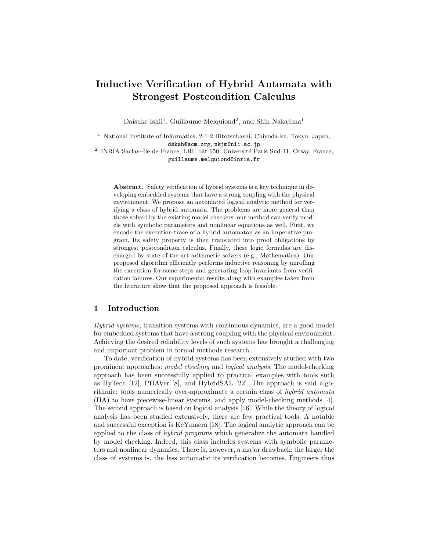# Inductive Verification of Hybrid Automata with Strongest Postcondition Calculus

Daisuke Ishii<sup>1</sup>, Guillaume Melquiond<sup>2</sup>, and Shin Nakajima<sup>1</sup>

<sup>1</sup> National Institute of Informatics, 2-1-2 Hitotsubashi, Chiyoda-ku, Tokyo, Japan, dsksh@acm.org, nkjm@nii.ac.jp

<sup>2</sup> INRIA Saclay–Île-de-France, LRI, bât 650, Université Paris Sud 11, Orsay, France, guillaume.melquiond@inria.fr

Abstract. Safety verification of hybrid systems is a key technique in developing embedded systems that have a strong coupling with the physical environment. We propose an automated logical analytic method for verifying a class of hybrid automata. The problems are more general than those solved by the existing model checkers: our method can verify models with symbolic parameters and nonlinear equations as well. First, we encode the execution trace of a hybrid automaton as an imperative program. Its safety property is then translated into proof obligations by strongest postcondition calculus. Finally, these logic formulas are discharged by state-of-the-art arithmetic solvers (e.g., Mathematica). Our proposed algorithm efficiently performs inductive reasoning by unrolling the execution for some steps and generating loop invariants from verification failures. Our experimental results along with examples taken from the literature show that the proposed approach is feasible.

## 1 Introduction

Hybrid systems, transition systems with continuous dynamics, are a good model for embedded systems that have a strong coupling with the physical environment. Achieving the desired reliability levels of such systems has brought a challenging and important problem in formal methods research.

To date, verification of hybrid systems has been extensively studied with two prominent approaches: model checking and logical analysis. The model-checking approach has been successfully applied to practical examples with tools such as HyTech [12], PHAVer [8], and HybridSAL [22]. The approach is said algorithmic: tools numerically over-approximate a certain class of hybrid automata (HA) to have piecewise-linear systems, and apply model-checking methods [4]. The second approach is based on logical analysis [16]. While the theory of logical analysis has been studied extensively, there are few practical tools. A notable and successful exception is KeYmaera [18]. The logical analytic approach can be applied to the class of hybrid programs which generalize the automata handled by model checking. Indeed, this class includes systems with symbolic parameters and nonlinear dynamics. There is, however, a major drawback: the larger the class of systems is, the less automatic its verification becomes. Engineers thus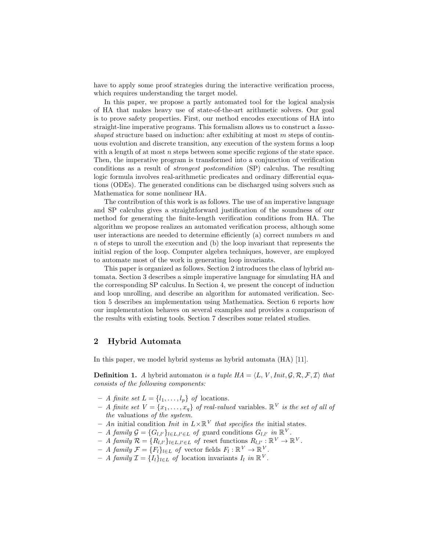have to apply some proof strategies during the interactive verification process, which requires understanding the target model.

In this paper, we propose a partly automated tool for the logical analysis of HA that makes heavy use of state-of-the-art arithmetic solvers. Our goal is to prove safety properties. First, our method encodes executions of HA into straight-line imperative programs. This formalism allows us to construct a lassoshaped structure based on induction: after exhibiting at most m steps of continuous evolution and discrete transition, any execution of the system forms a loop with a length of at most  $n$  steps between some specific regions of the state space. Then, the imperative program is transformed into a conjunction of verification conditions as a result of strongest postcondition (SP) calculus. The resulting logic formula involves real-arithmetic predicates and ordinary differential equations (ODEs). The generated conditions can be discharged using solvers such as Mathematica for some nonlinear HA.

The contribution of this work is as follows. The use of an imperative language and SP calculus gives a straightforward justification of the soundness of our method for generating the finite-length verification conditions from HA. The algorithm we propose realizes an automated verification process, although some user interactions are needed to determine efficiently (a) correct numbers  $m$  and n of steps to unroll the execution and (b) the loop invariant that represents the initial region of the loop. Computer algebra techniques, however, are employed to automate most of the work in generating loop invariants.

This paper is organized as follows. Section 2 introduces the class of hybrid automata. Section 3 describes a simple imperative language for simulating HA and the corresponding SP calculus. In Section 4, we present the concept of induction and loop unrolling, and describe an algorithm for automated verification. Section 5 describes an implementation using Mathematica. Section 6 reports how our implementation behaves on several examples and provides a comparison of the results with existing tools. Section 7 describes some related studies.

## 2 Hybrid Automata

In this paper, we model hybrid systems as hybrid automata (HA) [11].

**Definition 1.** A hybrid automaton is a tuple  $HA = \langle L, V,Init, \mathcal{G}, \mathcal{R}, \mathcal{F}, \mathcal{I} \rangle$  that consists of the following components:

- A finite set  $L = \{l_1, \ldots, l_p\}$  of locations.
- $-$  A finite set  $V = \{x_1, \ldots, x_q\}$  of real-valued variables.  $\mathbb{R}^V$  is the set of all of the valuations of the system.
- An initial condition *Init in*  $L \times \mathbb{R}^V$  that specifies the initial states.
- $A$  family  $\mathcal{G} = \{G_{l,l'}\}_{l \in L, l' \in L}$  of guard conditions  $G_{l,l'}$  in  $\mathbb{R}^V$ .
- $A$  family  $\mathcal{R} = \{R_{l,l'}\}_{l \in L, l' \in L}$  of reset functions  $R_{l,l'} : \mathbb{R}^V \to \mathbb{R}^V$ .
- $A$  family  $\mathcal{F} = \{F_l\}_{l \in L}$  of vector fields  $F_l : \mathbb{R}^V \to \mathbb{R}^V$ .
- A family  $\mathcal{I} = \{I_l\}_{l \in L}$  of location invariants  $I_l$  in  $\mathbb{R}^V$ .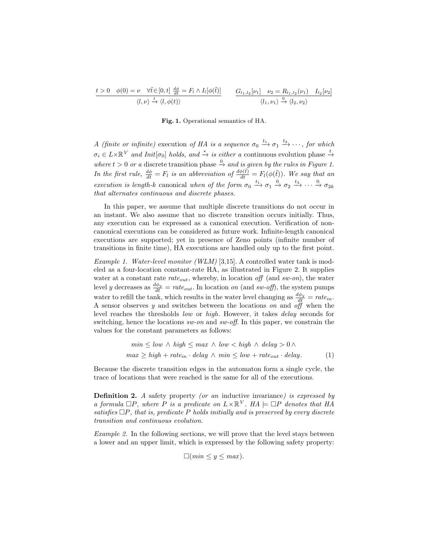$$
\frac{t > 0 \quad \phi(0) = \nu \quad \forall \tilde{t} \in [0, t] \quad \frac{d\phi}{dt} = F_l \land I_l[\phi(\tilde{t})] \qquad G_{l_1, l_2}[\nu_1] \quad \nu_2 = R_{l_1, l_2}(\nu_1) \quad I_{l_2}[\nu_2]
$$
\n
$$
\langle l, \nu \rangle \xrightarrow{\tilde{t}} \langle l, \phi(t) \rangle \qquad \langle l_1, \nu_1 \rangle \xrightarrow{\tilde{0}} \langle l_2, \nu_2 \rangle
$$

#### Fig. 1. Operational semantics of HA.

A (finite or infinite) execution of HA is a sequence  $\sigma_0 \stackrel{t_1}{\longrightarrow} \sigma_1 \stackrel{t_2}{\longrightarrow} \cdots$ , for which  $\sigma_i \in L \times \mathbb{R}^V$  and  $Init[\sigma_0]$  holds, and  $\stackrel{*}{\to}$  is either a continuous evolution phase  $\stackrel{t}{\to}$ where  $t > 0$  or a discrete transition phase  $\stackrel{0}{\rightarrow}$  and is given by the rules in Figure 1. In the first rule,  $\frac{d\phi}{dt} = F_l$  is an abbreviation of  $\frac{d\phi(\tilde{t})}{dt} = F_l(\phi(\tilde{t}))$ . We say that an execution is length-k canonical when of the form  $\sigma_0 \xrightarrow{t_1} \sigma_1 \xrightarrow{0} \sigma_2 \xrightarrow{t_3} \cdots \xrightarrow{0} \sigma_{2k}$ that alternates continuous and discrete phases.

In this paper, we assume that multiple discrete transitions do not occur in an instant. We also assume that no discrete transition occurs initially. Thus, any execution can be expressed as a canonical execution. Verification of noncanonical executions can be considered as future work. Infinite-length canonical executions are supported; yet in presence of Zeno points (infinite number of transitions in finite time), HA executions are handled only up to the first point.

Example 1. Water-level monitor (WLM) [3,15]. A controlled water tank is modeled as a four-location constant-rate HA, as illustrated in Figure 2. It supplies water at a constant rate  $rate_{out}$ , whereby, in location of (and sw-on), the water level y decreases as  $\frac{d\phi_y}{dt} = rate_{out}$ . In location on (and sw-off), the system pumps water to refill the tank, which results in the water level changing as  $\frac{d\phi_y}{dt} = rate_{in}$ . A sensor observes  $y$  and switches between the locations on and off when the level reaches the thresholds low or high. However, it takes delay seconds for switching, hence the locations  $sw\text{-}on$  and  $sw\text{-}off$ . In this paper, we constrain the values for the constant parameters as follows:

$$
\min \leq low \land high \leq max \land low < high \land delay > 0 \land
$$
\n
$$
\max \geq high + rate_{in} \cdot delay \land min \leq low + rate_{out} \cdot delay. \tag{1}
$$

Because the discrete transition edges in the automaton form a single cycle, the trace of locations that were reached is the same for all of the executions.

**Definition 2.** A safety property (or an inductive invariance) is expressed by a formula  $\Box P$ , where P is a predicate on  $L \times \mathbb{R}^V$ . HA  $\models \Box P$  denotes that HA satisfies  $\Box P$ , that is, predicate P holds initially and is preserved by every discrete transition and continuous evolution.

Example 2. In the following sections, we will prove that the level stays between a lower and an upper limit, which is expressed by the following safety property:

$$
\Box (min \le y \le max).
$$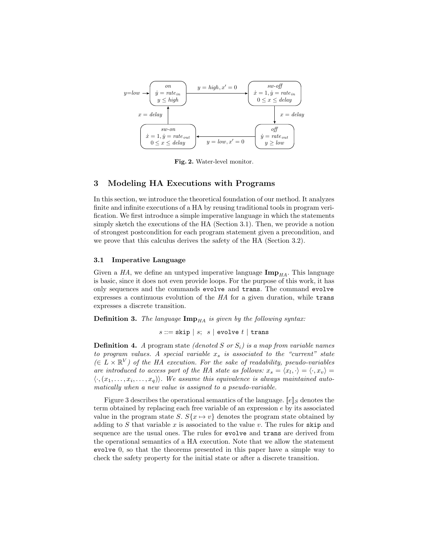

Fig. 2. Water-level monitor.

## 3 Modeling HA Executions with Programs

In this section, we introduce the theoretical foundation of our method. It analyzes finite and infinite executions of a HA by reusing traditional tools in program verification. We first introduce a simple imperative language in which the statements simply sketch the executions of the HA (Section 3.1). Then, we provide a notion of strongest postcondition for each program statement given a precondition, and we prove that this calculus derives the safety of the HA (Section 3.2).

## 3.1 Imperative Language

Given a HA, we define an untyped imperative language  $\text{Imp}_{HA}$ . This language is basic, since it does not even provide loops. For the purpose of this work, it has only sequences and the commands evolve and trans. The command evolve expresses a continuous evolution of the HA for a given duration, while trans expresses a discrete transition.

**Definition 3.** The language  $\text{Imp}_{HA}$  is given by the following syntax:

 $s ::=$ skip | s; s | evolve t | trans

**Definition 4.** A program state (denoted S or  $S_i$ ) is a map from variable names to program values. A special variable  $x_s$  is associated to the "current" state  $(\in L \times \mathbb{R}^V)$  of the HA execution. For the sake of readability, pseudo-variables are introduced to access part of the HA state as follows:  $x_s = \langle x_l, \cdot \rangle = \langle \cdot, x_v \rangle =$  $\langle \cdot, (x_1, \ldots, x_i, \ldots, x_q) \rangle$ . We assume this equivalence is always maintained automatically when a new value is assigned to a pseudo-variable.

Figure 3 describes the operational semantics of the language.  $\llbracket e \rrbracket_S$  denotes the term obtained by replacing each free variable of an expression  $e$  by its associated value in the program state S.  $S\{x \mapsto v\}$  denotes the program state obtained by adding to S that variable x is associated to the value v. The rules for skip and sequence are the usual ones. The rules for evolve and trans are derived from the operational semantics of a HA execution. Note that we allow the statement evolve 0, so that the theorems presented in this paper have a simple way to check the safety property for the initial state or after a discrete transition.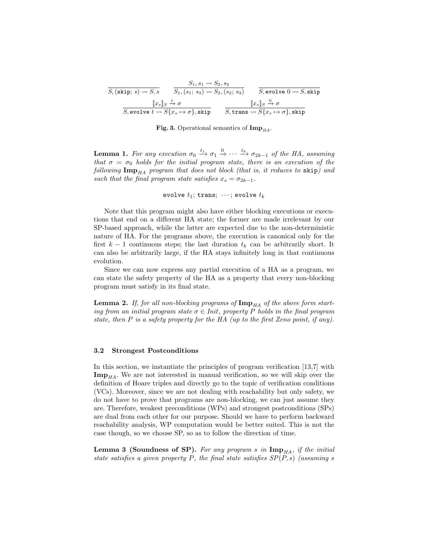$$
\frac{S_1, s_1 \rightsquigarrow S_2, s_2}{S_1, (s_1; s_3) \rightsquigarrow S_2, (s_2; s_3)} \qquad \frac{S_2, s_2}{S_1, (s_1; s_3) \rightsquigarrow S_2, (s_2; s_3)} \qquad \frac{S_2, \text{evolve } 0 \rightsquigarrow S, \text{skip}}{S, \text{evolve } 0 \rightsquigarrow S, \text{skip}} \frac{[x_s]_S \stackrel{t}{\rightarrow} \sigma}{S, \text{trans } \rightsquigarrow S\{x_s \mapsto \sigma\}, \text{skip}}
$$

Fig. 3. Operational semantics of  $\text{Imp}_{HA}$ .

**Lemma 1.** For any execution  $\sigma_0 \stackrel{t_1}{\rightarrow} \sigma_1 \stackrel{0}{\rightarrow} \cdots \stackrel{t_k}{\rightarrow} \sigma_{2k-1}$  of the HA, assuming that  $\sigma = \sigma_0$  holds for the initial program state, there is an execution of the following  $\text{Imp}_{HA}$  program that does not block (that is, it reduces to  $\text{skip}$ ) and such that the final program state satisfies  $x_s = \sigma_{2k-1}$ .

evolve  $t_1$ ; trans;  $\cdots$ ; evolve  $t_k$ 

Note that this program might also have either blocking executions or executions that end on a different HA state; the former are made irrelevant by our SP-based approach, while the latter are expected due to the non-deterministic nature of HA. For the programs above, the execution is canonical only for the first  $k-1$  continuous steps; the last duration  $t_k$  can be arbitrarily short. It can also be arbitrarily large, if the HA stays infinitely long in that continuous evolution.

Since we can now express any partial execution of a HA as a program, we can state the safety property of the HA as a property that every non-blocking program must satisfy in its final state.

**Lemma 2.** If, for all non-blocking programs of  $\text{Imp}_{HA}$  of the above form starting from an initial program state  $\sigma \in$  Init, property P holds in the final program state, then P is a safety property for the HA (up to the first Zeno point, if any).

### 3.2 Strongest Postconditions

In this section, we instantiate the principles of program verification [13,7] with  $\text{Imp}_{HA}$ . We are not interested in manual verification, so we will skip over the definition of Hoare triples and directly go to the topic of verification conditions (VCs). Moreover, since we are not dealing with reachability but only safety, we do not have to prove that programs are non-blocking, we can just assume they are. Therefore, weakest preconditions (WPs) and strongest postconditions (SPs) are dual from each other for our purpose. Should we have to perform backward reachability analysis, WP computation would be better suited. This is not the case though, so we choose SP, so as to follow the direction of time.

**Lemma 3 (Soundness of SP).** For any program s in  $\text{Imp}_{HA}$ , if the initial state satisfies a given property P, the final state satisfies  $SP(P, s)$  (assuming s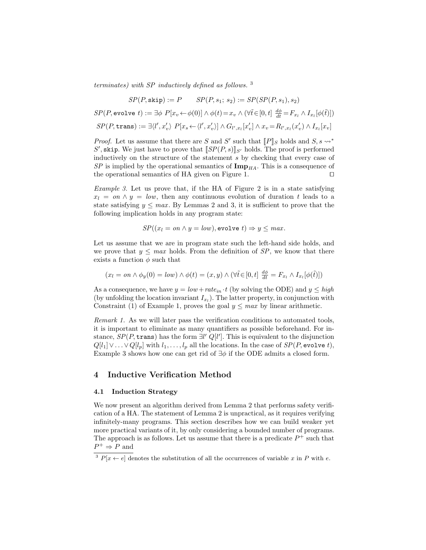terminates) with SP inductively defined as follows. <sup>3</sup>

$$
SP(P, \text{skip}) := P \qquad SP(P, s_1; s_2) := SP(SP(P, s_1), s_2)
$$
  
\n
$$
SP(P, \text{evolve } t) := \exists \phi \ P[x_v \leftarrow \phi(0)] \land \phi(t) = x_v \land (\forall \tilde{t} \in [0, t] \ \frac{d\phi}{dt} = F_{x_l} \land I_{x_l}[\phi(\tilde{t})])
$$
  
\n
$$
SP(P, \text{trans}) := \exists \langle l', x'_v \rangle \ P[x_s \leftarrow \langle l', x'_v \rangle] \land G_{l', x_l}[x'_v] \land x_v = R_{l', x_l}(x'_v) \land I_{x_l}[x_v]
$$

*Proof.* Let us assume that there are S and S' such that  $[ P ]_S$  holds and  $S, s \leadsto^*$ S', skip. We just have to prove that  $[SP(P, s)]_{S'}$  holds. The proof is performed inductively on the structure of the statement s by checking that every case of  $SP$  is implied by the operational semantics of  $\text{Imp}_{HA}$ . This is a consequence of the operational semantics of HA given on Figure 1.  $\Box$ 

*Example 3.* Let us prove that, if the HA of Figure 2 is in a state satisfying  $x_l = on \wedge y = low$ , then any continuous evolution of duration t leads to a state satisfying  $y \leq max$ . By Lemmas 2 and 3, it is sufficient to prove that the following implication holds in any program state:

$$
SP((x_l = on \land y = low), \mathtt{evolve}\ t) \Rightarrow y \leq max.
$$

Let us assume that we are in program state such the left-hand side holds, and we prove that  $y \leq max$  holds. From the definition of SP, we know that there exists a function  $\phi$  such that

$$
(x_l = on \land \phi_y(0) = low) \land \phi(t) = (x, y) \land (\forall \tilde{t} \in [0, t] \frac{d\phi}{dt} = F_{x_l} \land I_{x_l}[\phi(\tilde{t})])
$$

As a consequence, we have  $y = low + rate_{in} \cdot t$  (by solving the ODE) and  $y \leq high$ (by unfolding the location invariant  $I_{x_l}$ ). The latter property, in conjunction with Constraint (1) of Example 1, proves the goal  $y \leq max$  by linear arithmetic.

Remark 1. As we will later pass the verification conditions to automated tools, it is important to eliminate as many quantifiers as possible beforehand. For instance,  $SP(P, \text{trans})$  has the form  $\exists l' Q[l']$ . This is equivalent to the disjunction  $Q[l_1] \vee \ldots \vee Q[l_p]$  with  $l_1, \ldots, l_p$  all the locations. In the case of  $SP(P, \text{evolve } t)$ , Example 3 shows how one can get rid of  $\exists \phi$  if the ODE admits a closed form.

## 4 Inductive Verification Method

#### 4.1 Induction Strategy

We now present an algorithm derived from Lemma 2 that performs safety verification of a HA. The statement of Lemma 2 is unpractical, as it requires verifying infinitely-many programs. This section describes how we can build weaker yet more practical variants of it, by only considering a bounded number of programs. The approach is as follows. Let us assume that there is a predicate  $P^+$  such that  $P^+ \Rightarrow P$  and

<sup>&</sup>lt;sup>3</sup>  $P[x \leftarrow e]$  denotes the substitution of all the occurrences of variable x in P with e.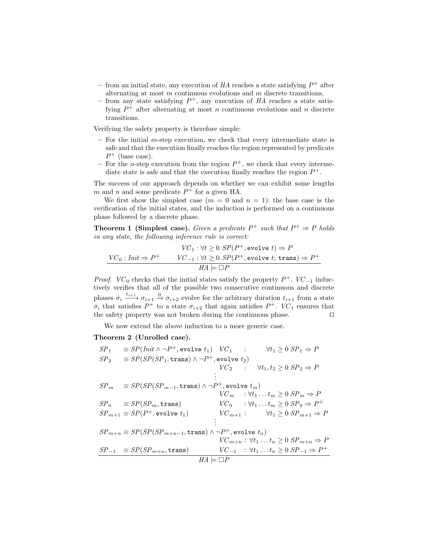- $-$  from an initial state, any execution of HA reaches a state satisfying  $P^+$  after alternating at most  $m$  continuous evolutions and  $m$  discrete transitions,
- from any state satisfying  $P^+$ , any execution of HA reaches a state satisfying  $P^+$  after alternating at most n continuous evolutions and n discrete transitions.

Verifying the safety property is therefore simple:

- $-$  For the initial *m*-step execution, we check that every intermediate state is safe and that the execution finally reaches the region represented by predicate  $P^+$  (base case).
- $-$  For the *n*-step execution from the region  $P^+$ , we check that every intermediate state is safe and that the execution finally reaches the region  $P^+$ .

The success of our approach depends on whether we can exhibit some lengths m and n and some predicate  $P^+$  for a given HA.

We first show the simplest case  $(m = 0 \text{ and } n = 1)$ : the base case is the verification of the initial states, and the induction is performed on a continuous phase followed by a discrete phase.

**Theorem 1 (Simplest case).** Given a predicate  $P^+$  such that  $P^+ \Rightarrow P$  holds in any state, the following inference rule is correct:

$$
VC_1: \forall t \ge 0 \text{ SP}(P^+, \text{evolve } t) \Rightarrow P
$$

$$
\underline{VC_0:Init} \Rightarrow P^+ \qquad VC_{-1}: \forall t \ge 0 \text{ SP}(P^+, \text{evolve } t; \text{trans}) \Rightarrow P^+}
$$

$$
HA \models \Box P
$$

*Proof.*  $VC_0$  checks that the initial states satisfy the property  $P^+$ .  $VC_{-1}$  inductively verifies that all of the possible two consecutive continuous and discrete phases  $\sigma_i \xrightarrow{t_{i+1}} \sigma_{i+1} \xrightarrow{0} \sigma_{i+2}$  evolve for the arbitrary duration  $t_{i+1}$  from a state  $\sigma_i$  that satisfies  $P^+$  to a state  $\sigma_{i+2}$  that again satisfies  $P^+$ . VC<sub>1</sub> ensures that the safety property was not broken during the continuous phase.  $\Box$ 

We now extend the above induction to a more generic case.

#### Theorem 2 (Unrolled case).

$$
SP_1 \equiv SP(\text{Init} \land \neg P^+, \text{evolve } t_1) \quad VC_1 : \forall t_1 \ge 0 \text{ } SP_1 \Rightarrow P
$$
\n
$$
SP_2 \equiv SP(SP(SP_1, \text{trans}) \land \neg P^+, \text{evolve } t_2)
$$
\n
$$
VC_2 : \forall t_1, t_2 \ge 0 \text{ } SP_2 \Rightarrow P
$$
\n
$$
SP_m \equiv SP(SP(SP_{m-1}, \text{trans}) \land \neg P^+, \text{evolve } t_m)
$$
\n
$$
VC_m : \forall t_1 ... t_m \ge 0 \text{ } SP_m \Rightarrow P
$$
\n
$$
SP_0 \equiv SP(SP_m, \text{trans}) \qquad VC_0 : \forall t_1 ... t_m \ge 0 \text{ } SP_m \Rightarrow P
$$
\n
$$
SP_{m+1} \equiv SP(P^+, \text{evolve } t_1) \qquad VC_{m+1} : \qquad \forall t_1 \ge 0 \text{ } SP_{m+1} \Rightarrow P
$$
\n
$$
SP_{m+n} \equiv SP(SP(SP_{m+n-1}, \text{trans}) \land \neg P^+, \text{evolve } t_n)
$$
\n
$$
VC_{m+n} : \forall t_1 ... t_n \ge 0 \text{ } SP_{m+n} \Rightarrow P
$$
\n
$$
SP_{-1} \equiv SP(SP_{m+n}, \text{trans}) \qquad VC_{-1} : \forall t_1 ... t_n \ge 0 \text{ } SP_{-1} \Rightarrow P^+
$$
\n
$$
HA \models \Box P
$$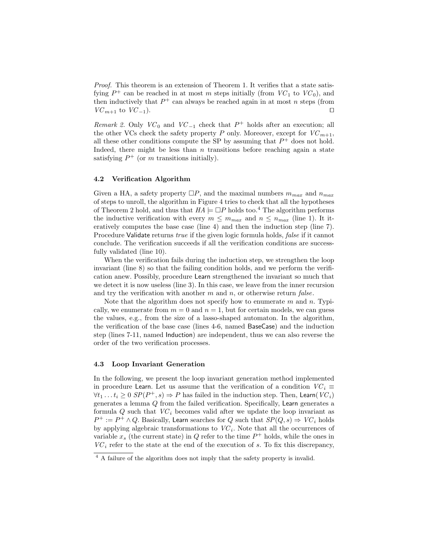Proof. This theorem is an extension of Theorem 1. It verifies that a state satisfying  $P^+$  can be reached in at most m steps initially (from  $VC_1$  to  $VC_0$ ), and then inductively that  $P^+$  can always be reached again in at most n steps (from  $VC_{m+1}$  to  $VC_{-1}$ ).

*Remark 2.* Only  $VC_0$  and  $VC_{-1}$  check that  $P^+$  holds after an execution; all the other VCs check the safety property P only. Moreover, except for  $VC_{m+1}$ , all these other conditions compute the SP by assuming that  $P^+$  does not hold. Indeed, there might be less than  $n$  transitions before reaching again a state satisfying  $P^+$  (or m transitions initially).

## 4.2 Verification Algorithm

Given a HA, a safety property  $\Box P$ , and the maximal numbers  $m_{max}$  and  $n_{max}$ of steps to unroll, the algorithm in Figure 4 tries to check that all the hypotheses of Theorem 2 hold, and thus that  $HA \models \Box P$  holds too.<sup>4</sup> The algorithm performs the inductive verification with every  $m \leq m_{max}$  and  $n \leq n_{max}$  (line 1). It iteratively computes the base case (line 4) and then the induction step (line 7). Procedure Validate returns *true* if the given logic formula holds, *false* if it cannot conclude. The verification succeeds if all the verification conditions are successfully validated (line 10).

When the verification fails during the induction step, we strengthen the loop invariant (line 8) so that the failing condition holds, and we perform the verification anew. Possibly, procedure Learn strengthened the invariant so much that we detect it is now useless (line 3). In this case, we leave from the inner recursion and try the verification with another  $m$  and  $n$ , or otherwise return false.

Note that the algorithm does not specify how to enumerate  $m$  and  $n$ . Typically, we enumerate from  $m = 0$  and  $n = 1$ , but for certain models, we can guess the values, e.g., from the size of a lasso-shaped automaton. In the algorithm, the verification of the base case (lines 4-6, named BaseCase) and the induction step (lines 7-11, named Induction) are independent, thus we can also reverse the order of the two verification processes.

#### 4.3 Loop Invariant Generation

In the following, we present the loop invariant generation method implemented in procedure Learn. Let us assume that the verification of a condition  $VC_i \equiv$  $\forall t_1 \dots t_i \geq 0 \; SP(P^+, s) \Rightarrow P$  has failed in the induction step. Then, Learn( $VC_i$ ) generates a lemma Q from the failed verification. Specifically, Learn generates a formula  $Q$  such that  $VC<sub>i</sub>$  becomes valid after we update the loop invariant as  $P^+ := P^+ \wedge Q$ . Basically, Learn searches for Q such that  $SP(Q, s) \Rightarrow VC_i$  holds by applying algebraic transformations to  $VC_i$ . Note that all the occurrences of variable  $x_s$  (the current state) in  $Q$  refer to the time  $P^+$  holds, while the ones in  $VC_i$  refer to the state at the end of the execution of s. To fix this discrepancy,

 $\frac{4}{4}$  A failure of the algorithm does not imply that the safety property is invalid.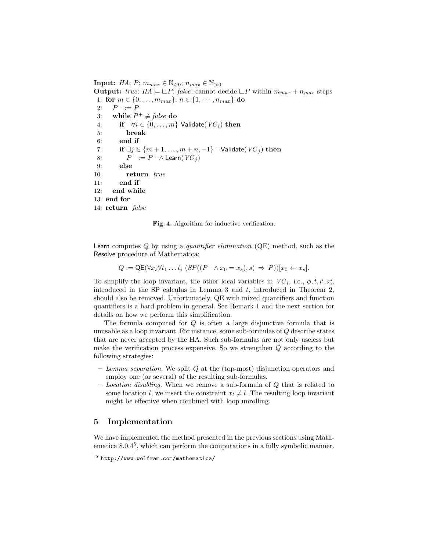Input: HA;  $P; m_{max} \in \mathbb{N}_{\geq 0}; n_{max} \in \mathbb{N}_{> 0}$ **Output:** true:  $HA \models \Box P$ ; false: cannot decide  $\Box P$  within  $m_{max} + n_{max}$  steps 1: for  $m \in \{0, ..., m_{max}\}$ ;  $n \in \{1, ..., n_{max}\}$  do<br>2:  $P^+ := P$ 2:  $P^+ := P$ 3: while  $P^+ \not\equiv false$  do 4: **if**  $\neg \forall i \in \{0, ..., m\}$  Validate(*VC*<sub>i</sub>) then<br>5: **break** 5: break 6: end if 7: if  $\exists j \in \{m+1, \ldots, m+n, -1\}$   $\neg$ Validate(*VC*<sub>j</sub>) then<br>8:  $P^+ := P^+ \wedge \text{Learn}(VC_j)$ 8:  $P^+ := P^+ \wedge \text{Learn}(VC_j)$ 9: else 10: return true 11: end if 12: end while 13: end for 14: return false



Learn computes  $Q$  by using a quantifier elimination  $(QE)$  method, such as the Resolve procedure of Mathematica:

$$
Q := \mathsf{QE}(\forall x_s \forall t_1 \dots t_i \ (SP((P^+ \land x_0 = x_s), s) \Rightarrow P))[x_0 \leftarrow x_s].
$$

To simplify the loop invariant, the other local variables in  $VC_i$ , i.e.,  $\phi, \tilde{t}, l', x'_v$ introduced in the SP calculus in Lemma 3 and  $t_i$  introduced in Theorem 2, should also be removed. Unfortunately, QE with mixed quantifiers and function quantifiers is a hard problem in general. See Remark 1 and the next section for details on how we perform this simplification.

The formula computed for Q is often a large disjunctive formula that is unusable as a loop invariant. For instance, some sub-formulas of Q describe states that are never accepted by the HA. Such sub-formulas are not only useless but make the verification process expensive. So we strengthen Q according to the following strategies:

- Lemma separation. We split  $Q$  at the (top-most) disjunction operators and employ one (or several) of the resulting sub-formulas.
- Location disabling. When we remove a sub-formula of Q that is related to some location l, we insert the constraint  $x_l \neq l$ . The resulting loop invariant might be effective when combined with loop unrolling.

## 5 Implementation

We have implemented the method presented in the previous sections using Mathematica 8.0.4<sup>5</sup>, which can perform the computations in a fully symbolic manner.

<sup>5</sup> http://www.wolfram.com/mathematica/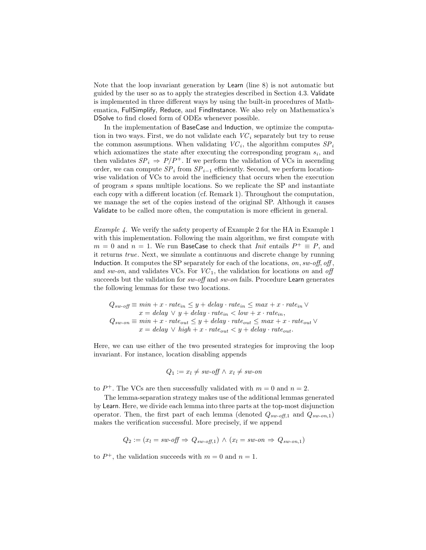Note that the loop invariant generation by Learn (line 8) is not automatic but guided by the user so as to apply the strategies described in Section 4.3. Validate is implemented in three different ways by using the built-in procedures of Mathematica, FullSimplify, Reduce, and FindInstance. We also rely on Mathematica's DSolve to find closed form of ODEs whenever possible.

In the implementation of BaseCase and Induction, we optimize the computation in two ways. First, we do not validate each  $VC_i$  separately but try to reuse the common assumptions. When validating  $VC_i$ , the algorithm computes  $SP_i$ which axiomatizes the state after executing the corresponding program  $s_i$ , and then validates  $SP_i \Rightarrow P/P^+$ . If we perform the validation of VCs in ascending order, we can compute  $SP_i$  from  $SP_{i-1}$  efficiently. Second, we perform locationwise validation of VCs to avoid the inefficiency that occurs when the execution of program s spans multiple locations. So we replicate the SP and instantiate each copy with a different location (cf. Remark 1). Throughout the computation, we manage the set of the copies instead of the original SP. Although it causes Validate to be called more often, the computation is more efficient in general.

Example 4. We verify the safety property of Example 2 for the HA in Example 1 with this implementation. Following the main algorithm, we first compute with  $m = 0$  and  $n = 1$ . We run BaseCase to check that *Init* entails  $P^+ \equiv P$ , and it returns true. Next, we simulate a continuous and discrete change by running Induction. It computes the SP separately for each of the locations, on, sw-off, off, and sw-on, and validates VCs. For  $VC_1$ , the validation for locations on and off succeeds but the validation for sw-off and sw-on fails. Procedure Learn generates the following lemmas for these two locations.

$$
Q_{sw\text{-off}} \equiv \min + x \cdot \text{rate}_{in} \leq y + delay \cdot \text{rate}_{in} \leq \max + x \cdot \text{rate}_{in} \vee
$$
  
\n
$$
x = delay \vee y + delay \cdot \text{rate}_{in} < low + x \cdot \text{rate}_{in},
$$
  
\n
$$
Q_{sw\text{-on}} \equiv \min + x \cdot \text{rate}_{out} \leq y + delay \cdot \text{rate}_{out} \leq \max + x \cdot \text{rate}_{out} \vee
$$
  
\n
$$
x = delay \vee high + x \cdot \text{rate}_{out} < y + delay \cdot \text{rate}_{out}.
$$

Here, we can use either of the two presented strategies for improving the loop invariant. For instance, location disabling appends

$$
Q_1 := x_l \neq sw\text{-}off \land x_l \neq sw\text{-}on
$$

to  $P^+$ . The VCs are then successfully validated with  $m = 0$  and  $n = 2$ .

The lemma-separation strategy makes use of the additional lemmas generated by Learn. Here, we divide each lemma into three parts at the top-most disjunction operator. Then, the first part of each lemma (denoted  $Q_{sw-off,1}$  and  $Q_{sw-on,1}$ ) makes the verification successful. More precisely, if we append

$$
Q_2 := (x_l = sw\text{-}off \Rightarrow Q_{sw\text{-}off,1}) \land (x_l = sw\text{-}on \Rightarrow Q_{sw\text{-}on,1})
$$

to  $P^+$ , the validation succeeds with  $m = 0$  and  $n = 1$ .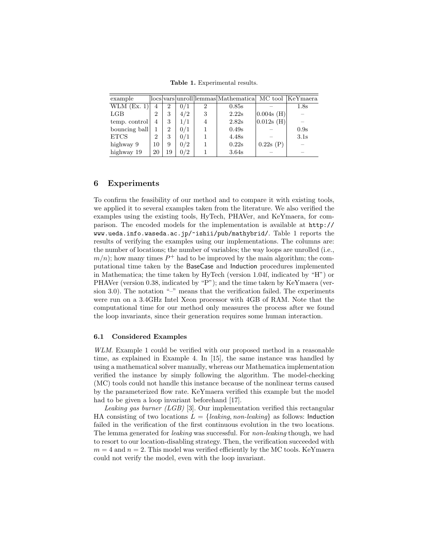Table 1. Experimental results.

| example       |    |                |     |                | locs vars unroll lemmas Mathematica MC tool KeYmaera |              |                 |
|---------------|----|----------------|-----|----------------|------------------------------------------------------|--------------|-----------------|
| WLM $(Ex. 1)$ |    | 2              | 0/1 | $\overline{2}$ | 0.85s                                                |              | $1.8\mathrm{s}$ |
| LGB           | 2  | 3              | 4/2 | 3              | 2.22s                                                | $0.004s$ (H) |                 |
| temp. control | 4  | 3              | 1/1 | $\overline{4}$ | 2.82s                                                | $0.012s$ (H) |                 |
| bouncing ball |    | $\overline{2}$ | 0/1 |                | 0.49s                                                |              | 0.9s            |
| <b>ETCS</b>   | 2  | 3              | 0/1 |                | 4.48s                                                |              | 3.1s            |
| highway 9     | 10 | 9              | 0/2 |                | 0.22s                                                | 0.22s(P)     |                 |
| highway 19    | 20 | 19             | 0/2 |                | 3.64s                                                |              |                 |

## 6 Experiments

To confirm the feasibility of our method and to compare it with existing tools, we applied it to several examples taken from the literature. We also verified the examples using the existing tools, HyTech, PHAVer, and KeYmaera, for comparison. The encoded models for the implementation is available at http:// www.ueda.info.waseda.ac.jp/~ishii/pub/mathybrid/. Table 1 reports the results of verifying the examples using our implementations. The columns are: the number of locations; the number of variables; the way loops are unrolled (i.e.,  $m(n)$ ; how many times  $P^+$  had to be improved by the main algorithm; the computational time taken by the BaseCase and Induction procedures implemented in Mathematica; the time taken by HyTech (version 1.04f, indicated by "H") or PHAVer (version 0.38, indicated by "P"); and the time taken by KeYmaera (version 3.0). The notation "–" means that the verification failed. The experiments were run on a 3.4GHz Intel Xeon processor with 4GB of RAM. Note that the computational time for our method only measures the process after we found the loop invariants, since their generation requires some human interaction.

#### 6.1 Considered Examples

WLM. Example 1 could be verified with our proposed method in a reasonable time, as explained in Example 4. In [15], the same instance was handled by using a mathematical solver manually, whereas our Mathematica implementation verified the instance by simply following the algorithm. The model-checking (MC) tools could not handle this instance because of the nonlinear terms caused by the parameterized flow rate. KeYmaera verified this example but the model had to be given a loop invariant beforehand [17].

Leaking gas burner (LGB) [3]. Our implementation verified this rectangular HA consisting of two locations  $L = \{leaking, non-leaking\}$  as follows: Induction failed in the verification of the first continuous evolution in the two locations. The lemma generated for leaking was successful. For non-leaking though, we had to resort to our location-disabling strategy. Then, the verification succeeded with  $m = 4$  and  $n = 2$ . This model was verified efficiently by the MC tools. KeYmaera could not verify the model, even with the loop invariant.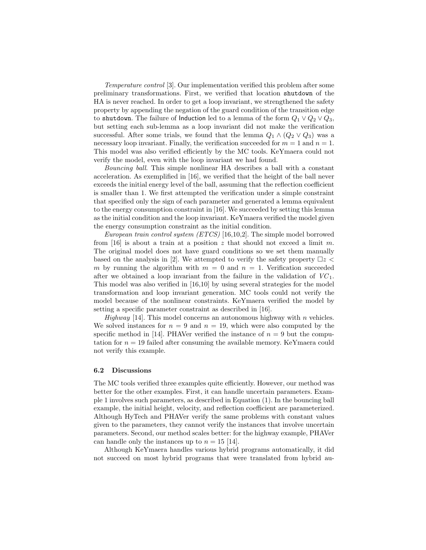Temperature control [3]. Our implementation verified this problem after some preliminary transformations. First, we verified that location shutdown of the HA is never reached. In order to get a loop invariant, we strengthened the safety property by appending the negation of the guard condition of the transition edge to shutdown. The failure of Induction led to a lemma of the form  $Q_1 \vee Q_2 \vee Q_3$ , but setting each sub-lemma as a loop invariant did not make the verification successful. After some trials, we found that the lemma  $Q_1 \wedge (Q_2 \vee Q_3)$  was a necessary loop invariant. Finally, the verification succeeded for  $m = 1$  and  $n = 1$ . This model was also verified efficiently by the MC tools. KeYmaera could not verify the model, even with the loop invariant we had found.

Bouncing ball. This simple nonlinear HA describes a ball with a constant acceleration. As exemplified in [16], we verified that the height of the ball never exceeds the initial energy level of the ball, assuming that the reflection coefficient is smaller than 1. We first attempted the verification under a simple constraint that specified only the sign of each parameter and generated a lemma equivalent to the energy consumption constraint in [16]. We succeeded by setting this lemma as the initial condition and the loop invariant. KeYmaera verified the model given the energy consumption constraint as the initial condition.

European train control system (ETCS) [16,10,2]. The simple model borrowed from [16] is about a train at a position z that should not exceed a limit m. The original model does not have guard conditions so we set them manually based on the analysis in [2]. We attempted to verify the safety property  $\Box z$ m by running the algorithm with  $m = 0$  and  $n = 1$ . Verification succeeded after we obtained a loop invariant from the failure in the validation of  $VC_1$ . This model was also verified in [16,10] by using several strategies for the model transformation and loop invariant generation. MC tools could not verify the model because of the nonlinear constraints. KeYmaera verified the model by setting a specific parameter constraint as described in [16].

Highway [14]. This model concerns an autonomous highway with  $n$  vehicles. We solved instances for  $n = 9$  and  $n = 19$ , which were also computed by the specific method in [14]. PHAVer verified the instance of  $n = 9$  but the computation for  $n = 19$  failed after consuming the available memory. KeYmaera could not verify this example.

#### 6.2 Discussions

The MC tools verified three examples quite efficiently. However, our method was better for the other examples. First, it can handle uncertain parameters. Example 1 involves such parameters, as described in Equation (1). In the bouncing ball example, the initial height, velocity, and reflection coefficient are parameterized. Although HyTech and PHAVer verify the same problems with constant values given to the parameters, they cannot verify the instances that involve uncertain parameters. Second, our method scales better: for the highway example, PHAVer can handle only the instances up to  $n = 15$  [14].

Although KeYmaera handles various hybrid programs automatically, it did not succeed on most hybrid programs that were translated from hybrid au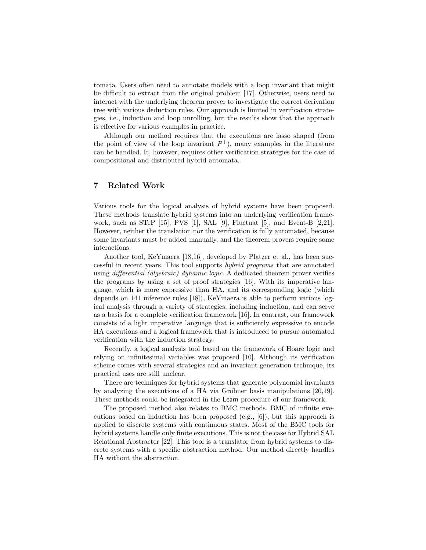tomata. Users often need to annotate models with a loop invariant that might be difficult to extract from the original problem [17]. Otherwise, users need to interact with the underlying theorem prover to investigate the correct derivation tree with various deduction rules. Our approach is limited in verification strategies, i.e., induction and loop unrolling, but the results show that the approach is effective for various examples in practice.

Although our method requires that the executions are lasso shaped (from the point of view of the loop invariant  $P^+$ ), many examples in the literature can be handled. It, however, requires other verification strategies for the case of compositional and distributed hybrid automata.

# 7 Related Work

Various tools for the logical analysis of hybrid systems have been proposed. These methods translate hybrid systems into an underlying verification framework, such as STeP  $[15]$ , PVS  $[1]$ , SAL  $[9]$ , Fluctuat  $[5]$ , and Event-B  $[2,21]$ . However, neither the translation nor the verification is fully automated, because some invariants must be added manually, and the theorem provers require some interactions.

Another tool, KeYmaera [18,16], developed by Platzer et al., has been successful in recent years. This tool supports hybrid programs that are annotated using differential (algebraic) dynamic logic. A dedicated theorem prover verifies the programs by using a set of proof strategies [16]. With its imperative language, which is more expressive than HA, and its corresponding logic (which depends on 141 inference rules [18]), KeYmaera is able to perform various logical analysis through a variety of strategies, including induction, and can serve as a basis for a complete verification framework [16]. In contrast, our framework consists of a light imperative language that is sufficiently expressive to encode HA executions and a logical framework that is introduced to pursue automated verification with the induction strategy.

Recently, a logical analysis tool based on the framework of Hoare logic and relying on infinitesimal variables was proposed [10]. Although its verification scheme comes with several strategies and an invariant generation technique, its practical uses are still unclear.

There are techniques for hybrid systems that generate polynomial invariants by analyzing the executions of a HA via Gröbner basis manipulations  $[20,19]$ . These methods could be integrated in the Learn procedure of our framework.

The proposed method also relates to BMC methods. BMC of infinite executions based on induction has been proposed (e.g., [6]), but this approach is applied to discrete systems with continuous states. Most of the BMC tools for hybrid systems handle only finite executions. This is not the case for Hybrid SAL Relational Abstracter [22]. This tool is a translator from hybrid systems to discrete systems with a specific abstraction method. Our method directly handles HA without the abstraction.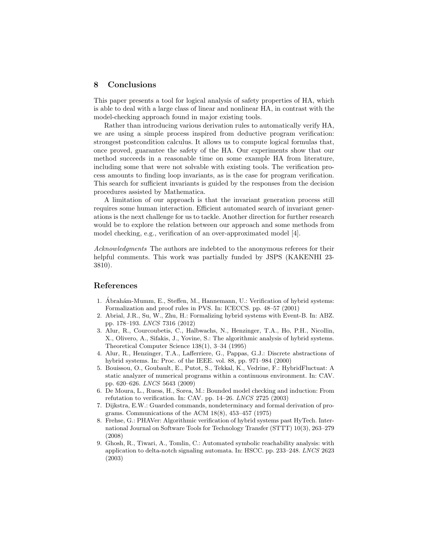## 8 Conclusions

This paper presents a tool for logical analysis of safety properties of HA, which is able to deal with a large class of linear and nonlinear HA, in contrast with the model-checking approach found in major existing tools.

Rather than introducing various derivation rules to automatically verify HA, we are using a simple process inspired from deductive program verification: strongest postcondition calculus. It allows us to compute logical formulas that, once proved, guarantee the safety of the HA. Our experiments show that our method succeeds in a reasonable time on some example HA from literature, including some that were not solvable with existing tools. The verification process amounts to finding loop invariants, as is the case for program verification. This search for sufficient invariants is guided by the responses from the decision procedures assisted by Mathematica.

A limitation of our approach is that the invariant generation process still requires some human interaction. Efficient automated search of invariant generations is the next challenge for us to tackle. Another direction for further research would be to explore the relation between our approach and some methods from model checking, e.g., verification of an over-approximated model [4].

Acknowledgments The authors are indebted to the anonymous referees for their helpful comments. This work was partially funded by JSPS (KAKENHI 23- 3810).

## References

- 1. Ábrahám-Mumm, E., Steffen, M., Hannemann, U.: Verification of hybrid systems: Formalization and proof rules in PVS. In: ICECCS. pp. 48–57 (2001)
- 2. Abrial, J.R., Su, W., Zhu, H.: Formalizing hybrid systems with Event-B. In: ABZ. pp. 178–193. LNCS 7316 (2012)
- 3. Alur, R., Courcoubetis, C., Halbwachs, N., Henzinger, T.A., Ho, P.H., Nicollin, X., Olivero, A., Sifakis, J., Yovine, S.: The algorithmic analysis of hybrid systems. Theoretical Computer Science 138(1), 3–34 (1995)
- 4. Alur, R., Henzinger, T.A., Lafferriere, G., Pappas, G.J.: Discrete abstractions of hybrid systems. In: Proc. of the IEEE. vol. 88, pp. 971–984 (2000)
- 5. Bouissou, O., Goubault, E., Putot, S., Tekkal, K., Vedrine, F.: HybridFluctuat: A static analyzer of numerical programs within a continuous environment. In: CAV. pp. 620–626. LNCS 5643 (2009)
- 6. De Moura, L., Ruess, H., Sorea, M.: Bounded model checking and induction: From refutation to verification. In: CAV. pp. 14–26. LNCS 2725 (2003)
- 7. Dijkstra, E.W.: Guarded commands, nondeterminacy and formal derivation of programs. Communications of the ACM 18(8), 453–457 (1975)
- 8. Frehse, G.: PHAVer: Algorithmic verification of hybrid systems past HyTech. International Journal on Software Tools for Technology Transfer (STTT) 10(3), 263–279 (2008)
- 9. Ghosh, R., Tiwari, A., Tomlin, C.: Automated symbolic reachability analysis: with application to delta-notch signaling automata. In: HSCC. pp. 233–248. LNCS 2623 (2003)